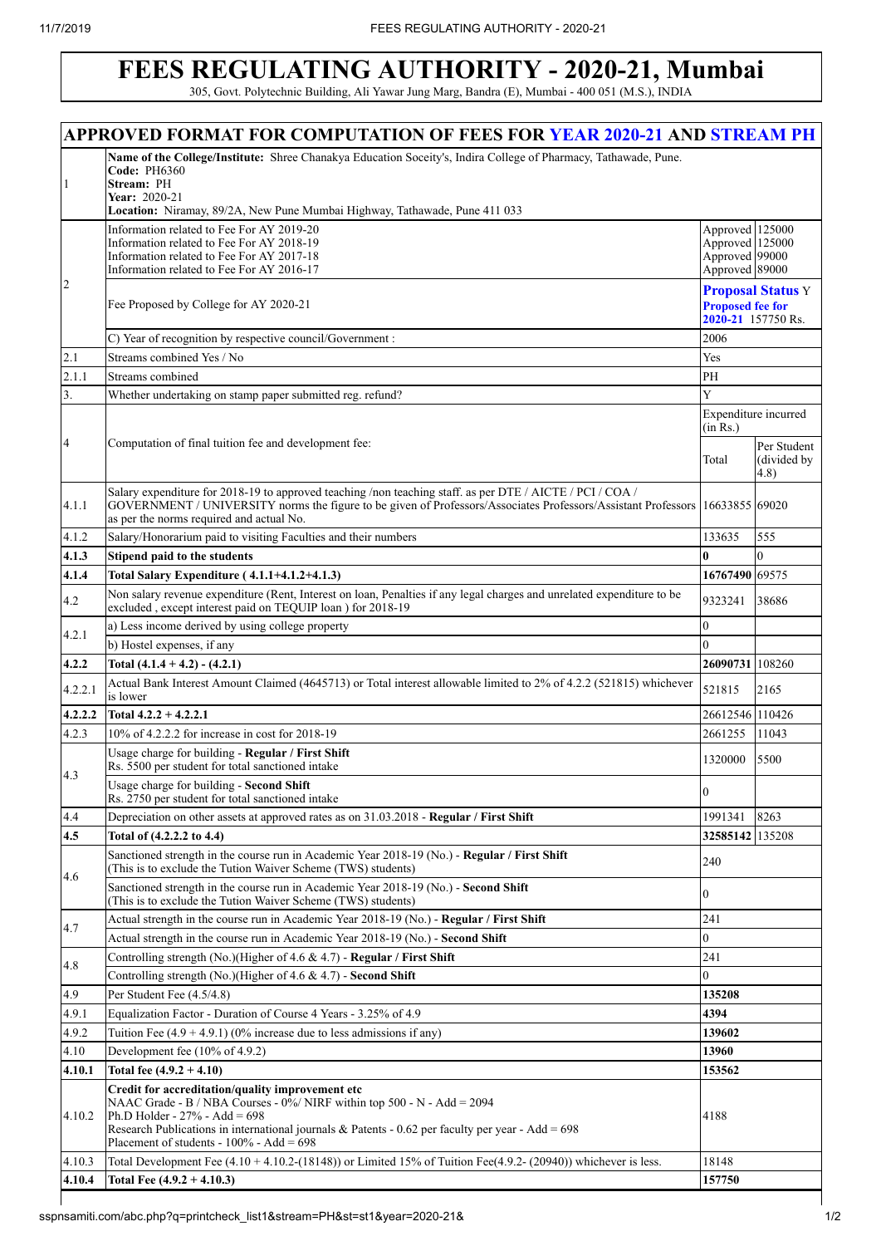## **FEES REGULATING AUTHORITY - 2020-21, Mumbai**

305, Govt. Polytechnic Building, Ali Yawar Jung Marg, Bandra (E), Mumbai - 400 051 (M.S.), INDIA

|                | <b>APPROVED FORMAT FOR COMPUTATION OF FEES FOR YEAR 2020-21 AND STREAM PH</b>                                                                                                                                                                                                                                        |                                                                        |                                                |
|----------------|----------------------------------------------------------------------------------------------------------------------------------------------------------------------------------------------------------------------------------------------------------------------------------------------------------------------|------------------------------------------------------------------------|------------------------------------------------|
| 1              | Name of the College/Institute: Shree Chanakya Education Soceity's, Indira College of Pharmacy, Tathawade, Pune.<br><b>Code: PH6360</b><br>Stream: PH<br>Year: 2020-21<br>Location: Niramay, 89/2A, New Pune Mumbai Highway, Tathawade, Pune 411 033                                                                  |                                                                        |                                                |
|                | Information related to Fee For AY 2019-20<br>Information related to Fee For AY 2018-19<br>Information related to Fee For AY 2017-18<br>Information related to Fee For AY 2016-17                                                                                                                                     | Approved 125000<br>Approved 125000<br>Approved 99000<br>Approved 89000 |                                                |
| $\overline{2}$ | Fee Proposed by College for AY 2020-21                                                                                                                                                                                                                                                                               | <b>Proposed fee for</b>                                                | <b>Proposal Status Y</b><br>2020-21 157750 Rs. |
|                | C) Year of recognition by respective council/Government :                                                                                                                                                                                                                                                            | 2006                                                                   |                                                |
| 2.1            | Streams combined Yes / No                                                                                                                                                                                                                                                                                            | Yes                                                                    |                                                |
| 2.1.1          | Streams combined                                                                                                                                                                                                                                                                                                     | PH                                                                     |                                                |
| 3.             | Whether undertaking on stamp paper submitted reg. refund?                                                                                                                                                                                                                                                            | Y                                                                      |                                                |
| 4              | Computation of final tuition fee and development fee:                                                                                                                                                                                                                                                                | Expenditure incurred<br>(in Rs.)                                       |                                                |
|                |                                                                                                                                                                                                                                                                                                                      | Total                                                                  | Per Student<br>(divided by<br>(4.8)            |
| 4.1.1          | Salary expenditure for 2018-19 to approved teaching /non teaching staff. as per DTE / AICTE / PCI / COA /<br>GOVERNMENT / UNIVERSITY norms the figure to be given of Professors/Associates Professors/Assistant Professors   16633855 69020<br>as per the norms required and actual No.                              |                                                                        |                                                |
| 4.1.2          | Salary/Honorarium paid to visiting Faculties and their numbers                                                                                                                                                                                                                                                       | 133635                                                                 | 555                                            |
| 4.1.3          | Stipend paid to the students                                                                                                                                                                                                                                                                                         | 0                                                                      | $\Omega$                                       |
| 4.1.4          | Total Salary Expenditure (4.1.1+4.1.2+4.1.3)                                                                                                                                                                                                                                                                         | 16767490 69575                                                         |                                                |
| 4.2            | Non salary revenue expenditure (Rent, Interest on loan, Penalties if any legal charges and unrelated expenditure to be<br>excluded, except interest paid on TEQUIP loan ) for 2018-19                                                                                                                                | 9323241                                                                | 38686                                          |
| 4.2.1          | a) Less income derived by using college property                                                                                                                                                                                                                                                                     | $\overline{0}$                                                         |                                                |
|                | b) Hostel expenses, if any                                                                                                                                                                                                                                                                                           | 0                                                                      |                                                |
| 4.2.2          | Total $(4.1.4 + 4.2) - (4.2.1)$                                                                                                                                                                                                                                                                                      | 26090731 108260                                                        |                                                |
| 4.2.2.1        | Actual Bank Interest Amount Claimed (4645713) or Total interest allowable limited to 2% of 4.2.2 (521815) whichever<br>is lower                                                                                                                                                                                      | 521815                                                                 | 2165                                           |
| 4.2.2.2        | Total $4.2.2 + 4.2.2.1$<br>10% of 4.2.2.2 for increase in cost for 2018-19                                                                                                                                                                                                                                           | 26612546 110426                                                        |                                                |
| 4.2.3          |                                                                                                                                                                                                                                                                                                                      | 2661255                                                                | 11043                                          |
| 4.3            | Usage charge for building - Regular / First Shift<br>Rs. 5500 per student for total sanctioned intake<br>Usage charge for building - Second Shift                                                                                                                                                                    | 1320000                                                                | 5500                                           |
|                | Rs. 2750 per student for total sanctioned intake                                                                                                                                                                                                                                                                     | $\overline{0}$                                                         |                                                |
| 4.4            | Depreciation on other assets at approved rates as on 31.03.2018 - Regular / First Shift                                                                                                                                                                                                                              | 1991341                                                                | 8263                                           |
| 4.5            | Total of (4.2.2.2 to 4.4)                                                                                                                                                                                                                                                                                            | 32585142 135208                                                        |                                                |
| 4.6            | Sanctioned strength in the course run in Academic Year 2018-19 (No.) - Regular / First Shift<br>(This is to exclude the Tution Waiver Scheme (TWS) students)                                                                                                                                                         | 240                                                                    |                                                |
|                | Sanctioned strength in the course run in Academic Year 2018-19 (No.) - Second Shift<br>(This is to exclude the Tution Waiver Scheme (TWS) students)                                                                                                                                                                  | 0                                                                      |                                                |
| 4.7            | Actual strength in the course run in Academic Year 2018-19 (No.) - Regular / First Shift                                                                                                                                                                                                                             | 241                                                                    |                                                |
|                | Actual strength in the course run in Academic Year 2018-19 (No.) - Second Shift                                                                                                                                                                                                                                      | 0                                                                      |                                                |
| 4.8            | Controlling strength (No.)(Higher of 4.6 & 4.7) - Regular / First Shift<br>Controlling strength (No.)(Higher of 4.6 & 4.7) - Second Shift                                                                                                                                                                            | 241                                                                    |                                                |
| 4.9            | Per Student Fee (4.5/4.8)                                                                                                                                                                                                                                                                                            | 0                                                                      |                                                |
| 4.9.1          | Equalization Factor - Duration of Course 4 Years - 3.25% of 4.9                                                                                                                                                                                                                                                      | 135208<br>4394                                                         |                                                |
| 4.9.2          | Tuition Fee $(4.9 + 4.9.1)$ (0% increase due to less admissions if any)                                                                                                                                                                                                                                              | 139602                                                                 |                                                |
| 4.10           | Development fee (10% of 4.9.2)                                                                                                                                                                                                                                                                                       | 13960                                                                  |                                                |
| 4.10.1         | Total fee $(4.9.2 + 4.10)$                                                                                                                                                                                                                                                                                           | 153562                                                                 |                                                |
| 4.10.2         | Credit for accreditation/quality improvement etc<br>NAAC Grade - B / NBA Courses - 0%/ NIRF within top 500 - N - Add = 2094<br>Ph.D Holder - $27%$ - Add = 698<br>Research Publications in international journals & Patents - 0.62 per faculty per year - Add = $698$<br>Placement of students - $100\%$ - Add = 698 | 4188                                                                   |                                                |
| 4.10.3         | Total Development Fee $(4.10 + 4.10.2 - (18148))$ or Limited 15% of Tuition Fee $(4.9.2 - (20940))$ whichever is less.                                                                                                                                                                                               | 18148                                                                  |                                                |
| 4.10.4         | Total Fee $(4.9.2 + 4.10.3)$                                                                                                                                                                                                                                                                                         | 157750                                                                 |                                                |
|                |                                                                                                                                                                                                                                                                                                                      |                                                                        |                                                |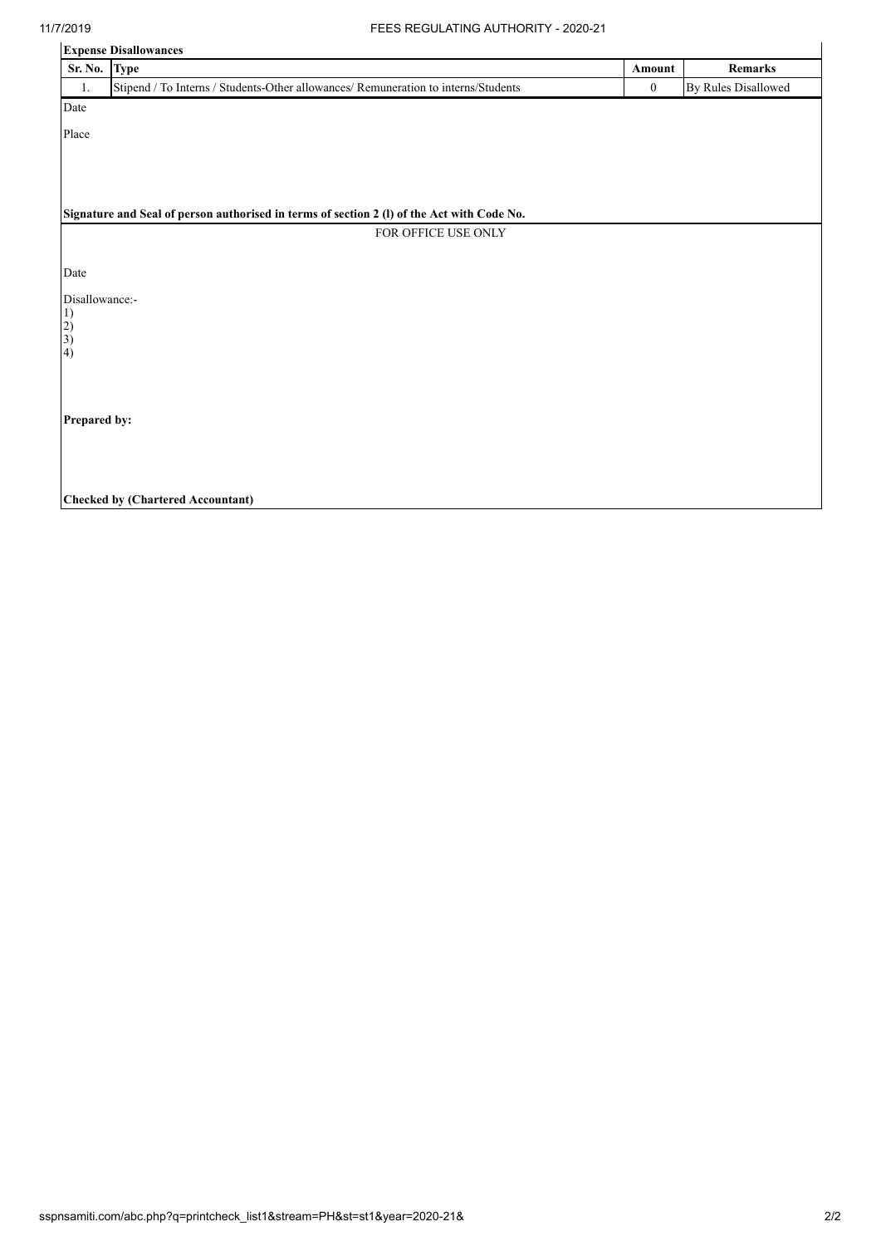| <b>Expense Disallowances</b>                     |                                                                                            |          |                     |
|--------------------------------------------------|--------------------------------------------------------------------------------------------|----------|---------------------|
| Sr. No.                                          | <b>Type</b>                                                                                | Amount   | Remarks             |
| 1.                                               | Stipend / To Interns / Students-Other allowances/ Remuneration to interns/Students         | $\bf{0}$ | By Rules Disallowed |
| Date                                             |                                                                                            |          |                     |
| Place                                            |                                                                                            |          |                     |
|                                                  |                                                                                            |          |                     |
|                                                  |                                                                                            |          |                     |
|                                                  |                                                                                            |          |                     |
|                                                  | Signature and Seal of person authorised in terms of section 2 (I) of the Act with Code No. |          |                     |
|                                                  | FOR OFFICE USE ONLY                                                                        |          |                     |
|                                                  |                                                                                            |          |                     |
| Date                                             |                                                                                            |          |                     |
| Disallowance:-                                   |                                                                                            |          |                     |
|                                                  |                                                                                            |          |                     |
| $\begin{pmatrix} 1 \\ 2 \\ 3 \\ 4 \end{pmatrix}$ |                                                                                            |          |                     |
|                                                  |                                                                                            |          |                     |
|                                                  |                                                                                            |          |                     |
|                                                  |                                                                                            |          |                     |
| Prepared by:                                     |                                                                                            |          |                     |
|                                                  |                                                                                            |          |                     |
|                                                  |                                                                                            |          |                     |
|                                                  |                                                                                            |          |                     |
|                                                  | <b>Checked by (Chartered Accountant)</b>                                                   |          |                     |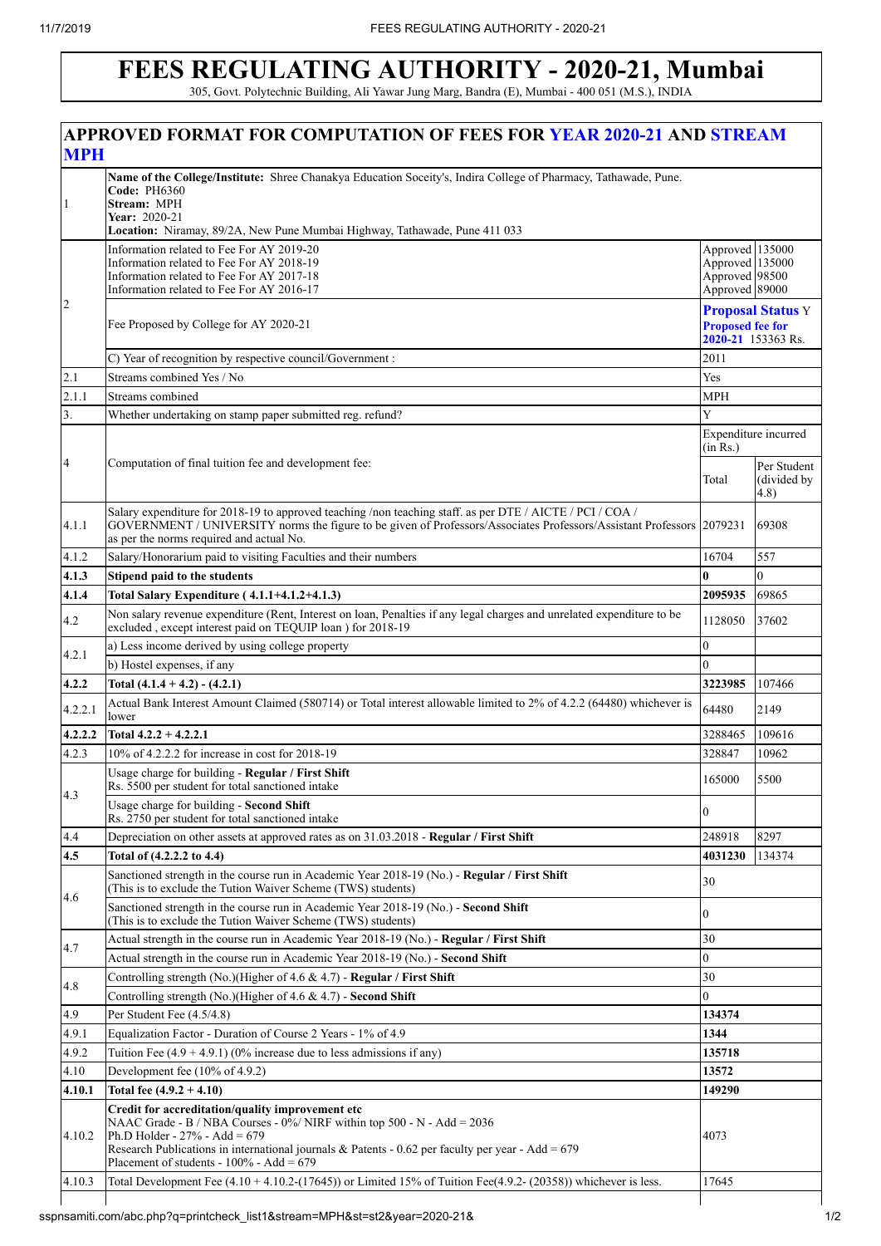## **FEES REGULATING AUTHORITY - 2020-21, Mumbai** 305, Govt. Polytechnic Building, Ali Yawar Jung Marg, Bandra (E), Mumbai - 400 051 (M.S.), INDIA

| <b>MPH</b>       | APPROVED FORMAT FOR COMPUTATION OF FEES FOR YEAR 2020-21 AND STREAM                                                                                                                                                                                                                                                      |                                                                           |                                     |  |
|------------------|--------------------------------------------------------------------------------------------------------------------------------------------------------------------------------------------------------------------------------------------------------------------------------------------------------------------------|---------------------------------------------------------------------------|-------------------------------------|--|
| $\mathbf{1}$     | Name of the College/Institute: Shree Chanakya Education Soceity's, Indira College of Pharmacy, Tathawade, Pune.<br><b>Code: PH6360</b><br>Stream: MPH<br>Year: 2020-21<br>Location: Niramay, 89/2A, New Pune Mumbai Highway, Tathawade, Pune 411 033                                                                     |                                                                           |                                     |  |
|                  | Information related to Fee For AY 2019-20<br>Information related to Fee For AY 2018-19<br>Information related to Fee For AY 2017-18<br>Information related to Fee For AY 2016-17                                                                                                                                         | Approved 135000<br>Approved 135000<br>Approved 98500<br>Approved 89000    |                                     |  |
| $\overline{2}$   | Fee Proposed by College for AY 2020-21                                                                                                                                                                                                                                                                                   | <b>Proposal Status Y</b><br><b>Proposed fee for</b><br>2020-21 153363 Rs. |                                     |  |
|                  | C) Year of recognition by respective council/Government :                                                                                                                                                                                                                                                                | 2011                                                                      |                                     |  |
| 2.1              | Streams combined Yes / No                                                                                                                                                                                                                                                                                                | Yes                                                                       |                                     |  |
| 2.1.1            | Streams combined                                                                                                                                                                                                                                                                                                         | <b>MPH</b>                                                                |                                     |  |
| $\overline{3}$ . | Whether undertaking on stamp paper submitted reg. refund?                                                                                                                                                                                                                                                                | Y                                                                         |                                     |  |
|                  |                                                                                                                                                                                                                                                                                                                          | Expenditure incurred<br>(in Rs.)                                          |                                     |  |
| $\overline{4}$   | Computation of final tuition fee and development fee:                                                                                                                                                                                                                                                                    | Total                                                                     | Per Student<br>(divided by<br>(4.8) |  |
| 4.1.1            | Salary expenditure for 2018-19 to approved teaching /non teaching staff. as per DTE / AICTE / PCI / COA /<br>GOVERNMENT / UNIVERSITY norms the figure to be given of Professors/Associates Professors/Assistant Professors 2079231<br>as per the norms required and actual No.                                           |                                                                           | 69308                               |  |
| 4.1.2            | Salary/Honorarium paid to visiting Faculties and their numbers                                                                                                                                                                                                                                                           | 16704                                                                     | 557                                 |  |
| 4.1.3            | Stipend paid to the students                                                                                                                                                                                                                                                                                             | 0                                                                         | $\mathbf{0}$                        |  |
| 4.1.4            | Total Salary Expenditure (4.1.1+4.1.2+4.1.3)                                                                                                                                                                                                                                                                             | 2095935                                                                   | 69865                               |  |
| 4.2              | Non salary revenue expenditure (Rent, Interest on loan, Penalties if any legal charges and unrelated expenditure to be<br>excluded, except interest paid on TEQUIP loan ) for 2018-19                                                                                                                                    | 1128050                                                                   | 37602                               |  |
| 4.2.1            | a) Less income derived by using college property                                                                                                                                                                                                                                                                         | $\overline{0}$                                                            |                                     |  |
|                  | b) Hostel expenses, if any                                                                                                                                                                                                                                                                                               | $\overline{0}$                                                            |                                     |  |
| 4.2.2            | Total $(4.1.4 + 4.2) - (4.2.1)$                                                                                                                                                                                                                                                                                          | 3223985                                                                   | 107466                              |  |
| 4.2.2.1          | Actual Bank Interest Amount Claimed (580714) or Total interest allowable limited to 2% of 4.2.2 (64480) whichever is<br>lower                                                                                                                                                                                            | 64480                                                                     | 2149                                |  |
| 4.2.2.2          | Total $4.2.2 + 4.2.2.1$                                                                                                                                                                                                                                                                                                  | 3288465                                                                   | 109616                              |  |
| 4.2.3            | 10% of 4.2.2.2 for increase in cost for 2018-19                                                                                                                                                                                                                                                                          | 328847                                                                    | 10962                               |  |
| 4.3              | Usage charge for building - Regular / First Shift<br>Rs. 5500 per student for total sanctioned intake                                                                                                                                                                                                                    | 165000                                                                    | 5500                                |  |
|                  | Usage charge for building - Second Shift<br>Rs. 2750 per student for total sanctioned intake                                                                                                                                                                                                                             | $\Omega$                                                                  |                                     |  |
| 4.4              | Depreciation on other assets at approved rates as on 31.03.2018 - Regular / First Shift                                                                                                                                                                                                                                  | 248918                                                                    | 8297                                |  |
| 4.5              | Total of (4.2.2.2 to 4.4)                                                                                                                                                                                                                                                                                                | 4031230                                                                   | 134374                              |  |
| 4.6              | Sanctioned strength in the course run in Academic Year 2018-19 (No.) - Regular / First Shift<br>(This is to exclude the Tution Waiver Scheme (TWS) students)                                                                                                                                                             | 30                                                                        |                                     |  |
|                  | Sanctioned strength in the course run in Academic Year 2018-19 (No.) - Second Shift<br>(This is to exclude the Tution Waiver Scheme (TWS) students)                                                                                                                                                                      | $\Omega$                                                                  |                                     |  |
| 4.7              | Actual strength in the course run in Academic Year 2018-19 (No.) - Regular / First Shift                                                                                                                                                                                                                                 | 30                                                                        |                                     |  |
|                  | Actual strength in the course run in Academic Year 2018-19 (No.) - Second Shift                                                                                                                                                                                                                                          | $\overline{0}$                                                            |                                     |  |
| 4.8              | Controlling strength (No.)(Higher of 4.6 & 4.7) - Regular / First Shift                                                                                                                                                                                                                                                  | 30                                                                        |                                     |  |
|                  | Controlling strength (No.)(Higher of 4.6 & 4.7) - Second Shift                                                                                                                                                                                                                                                           | $\overline{0}$                                                            |                                     |  |
| 4.9              | Per Student Fee (4.5/4.8)                                                                                                                                                                                                                                                                                                | 134374                                                                    |                                     |  |
| 4.9.1            | Equalization Factor - Duration of Course 2 Years - 1% of 4.9                                                                                                                                                                                                                                                             | 1344                                                                      |                                     |  |
| 4.9.2            | Tuition Fee $(4.9 + 4.9.1)$ (0% increase due to less admissions if any)                                                                                                                                                                                                                                                  | 135718                                                                    |                                     |  |
| 4.10             | Development fee (10% of 4.9.2)                                                                                                                                                                                                                                                                                           | 13572                                                                     |                                     |  |
| 4.10.1           | Total fee $(4.9.2 + 4.10)$                                                                                                                                                                                                                                                                                               |                                                                           | 149290                              |  |
| 4.10.2           | Credit for accreditation/quality improvement etc<br>NAAC Grade - B / NBA Courses - $0\%$ / NIRF within top 500 - N - Add = 2036<br>Ph.D Holder - $27%$ - Add = 679<br>Research Publications in international journals & Patents - 0.62 per faculty per year - Add = $679$<br>Placement of students - $100\%$ - Add = 679 | 4073                                                                      |                                     |  |
| 4.10.3           | Total Development Fee $(4.10 + 4.10.2 - (17645))$ or Limited 15% of Tuition Fee $(4.9.2 - (20358))$ whichever is less.                                                                                                                                                                                                   | 17645                                                                     |                                     |  |
|                  |                                                                                                                                                                                                                                                                                                                          |                                                                           |                                     |  |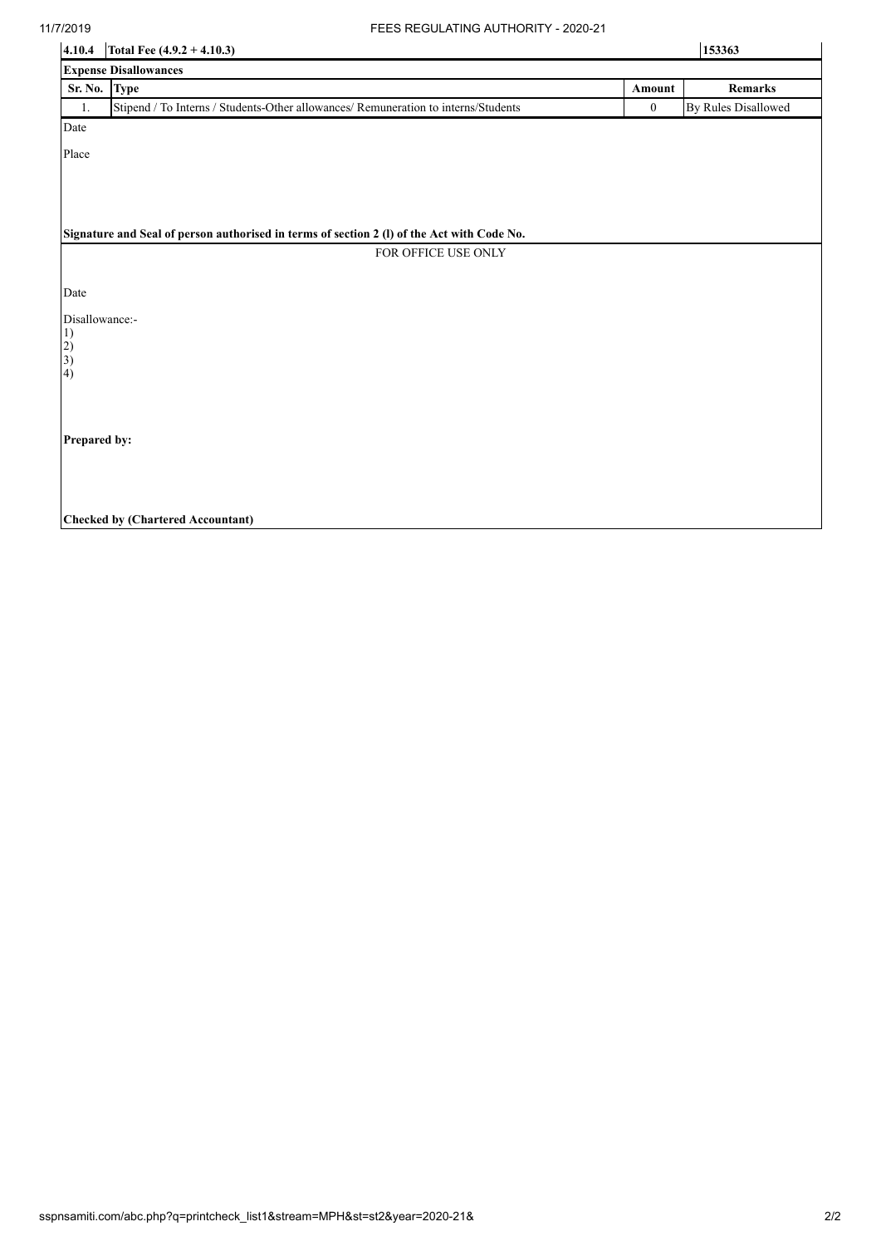| 4.10.4                                           | Total Fee $(4.9.2 + 4.10.3)$                                                               | 153363           |                            |  |  |
|--------------------------------------------------|--------------------------------------------------------------------------------------------|------------------|----------------------------|--|--|
|                                                  | <b>Expense Disallowances</b>                                                               |                  |                            |  |  |
| Sr. No. Type                                     |                                                                                            | Amount           | Remarks                    |  |  |
| 1.                                               | Stipend / To Interns / Students-Other allowances/ Remuneration to interns/Students         | $\boldsymbol{0}$ | <b>By Rules Disallowed</b> |  |  |
| Date                                             |                                                                                            |                  |                            |  |  |
| Place                                            |                                                                                            |                  |                            |  |  |
|                                                  |                                                                                            |                  |                            |  |  |
|                                                  |                                                                                            |                  |                            |  |  |
|                                                  |                                                                                            |                  |                            |  |  |
|                                                  | Signature and Seal of person authorised in terms of section 2 (I) of the Act with Code No. |                  |                            |  |  |
|                                                  | FOR OFFICE USE ONLY                                                                        |                  |                            |  |  |
|                                                  |                                                                                            |                  |                            |  |  |
| Date                                             |                                                                                            |                  |                            |  |  |
| Disallowance:-                                   |                                                                                            |                  |                            |  |  |
|                                                  |                                                                                            |                  |                            |  |  |
| $\begin{pmatrix} 1 \\ 2 \\ 3 \\ 4 \end{pmatrix}$ |                                                                                            |                  |                            |  |  |
|                                                  |                                                                                            |                  |                            |  |  |
|                                                  |                                                                                            |                  |                            |  |  |
|                                                  |                                                                                            |                  |                            |  |  |
|                                                  | Prepared by:                                                                               |                  |                            |  |  |
|                                                  |                                                                                            |                  |                            |  |  |
|                                                  |                                                                                            |                  |                            |  |  |
|                                                  |                                                                                            |                  |                            |  |  |
|                                                  | <b>Checked by (Chartered Accountant)</b>                                                   |                  |                            |  |  |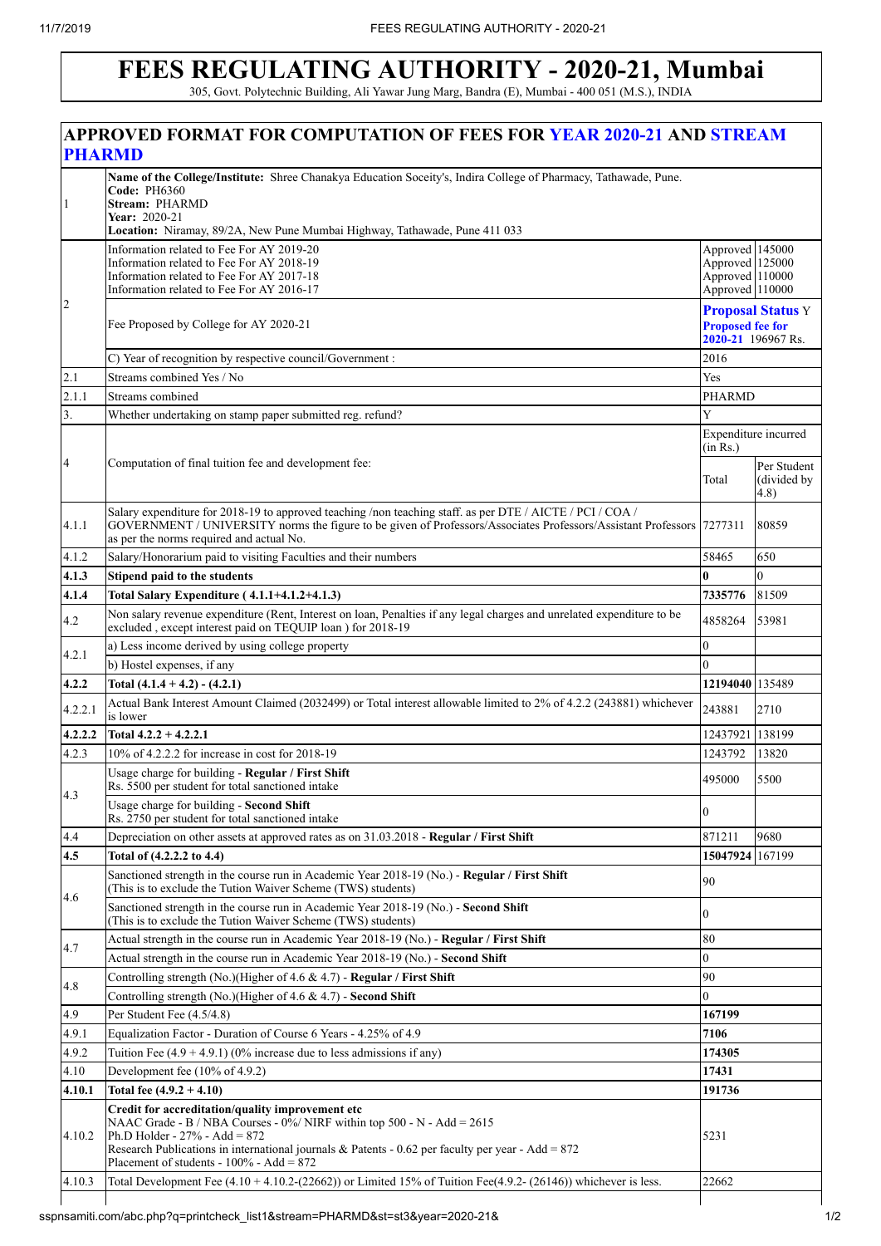1

 $\overline{2}$ 

## **FEES REGULATING AUTHORITY - 2020-21, Mumbai**

11/7/2019 FEES REGULATING AUTHORITY - 2020-21 305, Govt. Polytechnic Building, Ali Yawar Jung Marg, Bandra (E), Mumbai - 400 051 (M.S.), INDIA **APPROVED FORMAT FOR COMPUTATION OF FEES FOR YEAR 2020-21 AND STREAM PHARMD Name of the College/Institute:** Shree Chanakya Education Soceity's, Indira College of Pharmacy, Tathawade, Pune. **Code:** PH6360 **Stream:** PHARMD **Year:** 2020-21 **Location:** Niramay, 89/2A, New Pune Mumbai Highway, Tathawade, Pune 411 033 Information related to Fee For AY 2019-20 Information related to Fee For AY 2018-19 Information related to Fee For AY 2017-18 Information related to Fee For AY 2016-17 Approved 145000 Approved 125000 Approved 110000 Approved 110000 Fee Proposed by College for AY 2020-21 **Proposal Status** Y **Proposed fee for 2020-21** 196967 Rs. C) Year of recognition by respective council/Government : 2016 2.1 Streams combined Yes / No Yes 2.1.1 Streams combined PHARMD Whether undertaking on stamp paper submitted reg. refund? Computation of final tuition fee and development fee: Expenditure incurred  $(in$ <sup> $Rs.)$ </sup> Total Per Student (divided by 4.8) 4.1.1 Salary expenditure for 2018-19 to approved teaching /non teaching staff. as per DTE / AICTE / PCI / COA / GOVERNMENT / UNIVERSITY norms the figure to be given of Professors/Associates Professors/Assistant Professors as per the norms required and actual No. 7277311 80859 4.1.2 Salary/Honorarium paid to visiting Faculties and their numbers 58465 58465 58465 58465 **4.1.3 Stipend paid to the students 0** 0 **4.1.4 Total Salary Expenditure ( 4.1.1+4.1.2+4.1.3) 7335776** 81509 1.2 Non salary revenue expenditure (Rent, Interest on loan, Penalties if any legal charges and unrelated expenditure to be Excluded , except interest paid on TEQUIP loan ) for 2018-19 and  $\frac{1}{2}$  for  $\frac{1}{2}$  and  $\frac{1}{2}$  and  $\frac{1}{2}$  and  $\frac{1}{2}$  and  $\frac{1}{2}$  and  $\frac{1}{2}$  and  $\frac{1}{2}$  and  $\frac{1}{2}$  53981 4.2.1 a) Less income derived by using college property b) Hostel expenses, if any 0 **4.2.2 Total (4.1.4 + 4.2) - (4.2.1) 12194040** 135489 4.2.2.1 Actual Bank Interest Amount Claimed (2032499) or Total interest allowable limited to 2% of 4.2.2 (243881) whichever 243881 2710 **4.2.2.2 Total 4.2.2 + 4.2.2.1** 12437921 138199 4.2.3 10% of 4.2.2.2 for increase in cost for 2018-19 1243792 13820 4.3 Usage charge for building - **Regular / First Shift** Rs. 5500 per student for total sanctioned intake <sup>495000</sup> <sup>5500</sup> Usage charge for building - **Second Shift** Usage charge for building - **Second Shift** and Shift and Shift and Shift and Shift and Shift and Shift and Shift and Shift and Shift and Shift and Shift and Shift and Shift and Shift and Shift and Shift and Shift and Shift 4.4 Depreciation on other assets at approved rates as on 31.03.2018 - **Regular / First Shift** 871211 871211 9680 **4.5 Total of (4.2.2.2 to 4.4) 15047924** 167199 4.6 Sanctioned strength in the course run in Academic Year 2018-19 (No.) - **Regular / First Shift** Sanctioned strength in the course run in Academic Year 2018-19 (No.) - **Regular** / First Shift  $90$ Sanctioned strength in the course run in Academic Year 2018-19 (No.) - **Second Shift** Sanctioned strength in the course run in Academic Year 2018-19 (No.) - **Second Shift**  $(This is to exclude the Tution Wavier Scheme (TWS) students)$ 4.7 Actual strength in the course run in Academic Year 2018-19 (No.) - **Regular / First Shift** 80 Actual strength in the course run in Academic Year 2018-19 (No.) - **Second Shift** 0 4.8 Controlling strength (No.)(Higher of 4.6  $\&$  4.7) - **Regular / First Shift** 90 Controlling strength  $(No.)$ (Higher of 4.6  $\&$  4.7) - **Second Shift** 4.9 Per Student Fee (4.5/4.8) **167199** 4.9.1 Equalization Factor - Duration of Course 6 Years - 4.25% of 4.9 **7106** 4.9.2 Tuition Fee (4.9 + 4.9.1) (0% increase due to less admissions if any) **174305**

| 4.10   | Development fee $(10\% \text{ of } 4.9.2)$                                                                                                                                                                                                                                                                                | 17431  |
|--------|---------------------------------------------------------------------------------------------------------------------------------------------------------------------------------------------------------------------------------------------------------------------------------------------------------------------------|--------|
| 4.10.1 | Total fee $(4.9.2 + 4.10)$                                                                                                                                                                                                                                                                                                | 191736 |
| 4.10.2 | Credit for accreditation/quality improvement etc<br>NAAC Grade - B / NBA Courses - $0\%$ / NIRF within top 500 - N - Add = 2615<br>Ph.D Holder - $27\%$ - Add = 872<br>Research Publications in international journals & Patents - 0.62 per faculty per year - Add = $872$<br>Placement of students - $100\%$ - Add = 872 | 5231   |
| 4.10.3 | Total Development Fee $(4.10 + 4.10.2 - (22662))$ or Limited 15% of Tuition Fee $(4.9.2 - (26146))$ whichever is less.                                                                                                                                                                                                    | 22662  |
|        |                                                                                                                                                                                                                                                                                                                           |        |